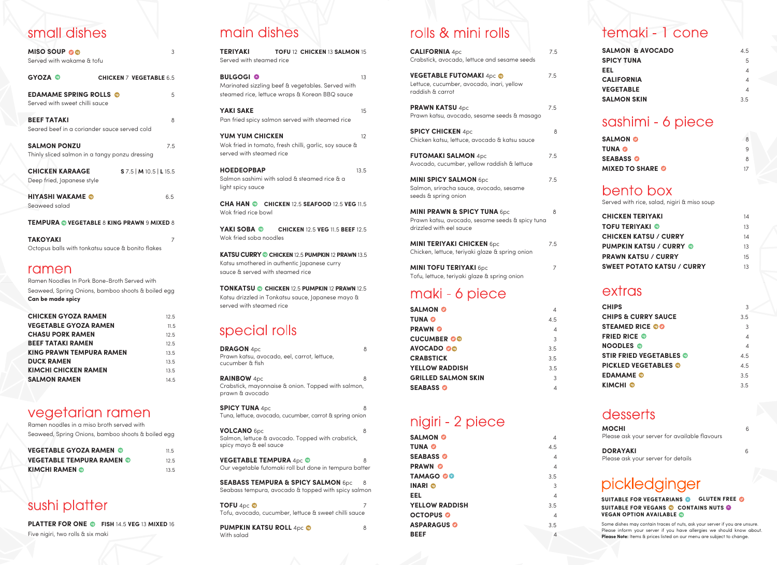## small dishes

| MISO SOUP @ @             |  |
|---------------------------|--|
| Served with wakame & tofu |  |
|                           |  |

| <b>GYOZA</b>                                                  | <b>CHICKEN 7 VEGETABLE 6.5</b>                       |
|---------------------------------------------------------------|------------------------------------------------------|
| <b>EDAMAME SPRING ROLLS</b><br>Served with sweet chilli sauce | 5                                                    |
| <b>BEEF TATAKI</b>                                            | 8<br>Seared beef in a coriander sauce served cold    |
| <b>SALMON PONZU</b>                                           | 75<br>Thinly sliced salmon in a tangy ponzu dressing |
| <b>CHICKEN KARAAGE</b><br>Deep fried, (apanese style          | $S$ 7.5   M 10.5   L 15.5                            |
| <b>HIYASHI WAKAME</b><br>Seaweed salad                        | 65                                                   |

**TEMPURA VEGETABLE** 8 **KING PRAWN** 9 **MIXED** 8

| <b>TAKOYAKI</b>                                   |  |
|---------------------------------------------------|--|
| Octopus balls with tonkatsu sauce & bonito flakes |  |

#### ramen

Ramen Noodles In Pork Bone-Broth Served with

Seaweed, Spring Onions, bamboo shoots & boiled egg **Can be made spicy**

| <b>CHICKEN GYOZA RAMEN</b>      | 12.5 |
|---------------------------------|------|
| <b>VEGETABLE GYOZA RAMEN</b>    | 11.5 |
| <b>CHASU PORK RAMEN</b>         | 12.5 |
| <b>BEEF TATAKI RAMEN</b>        | 12.5 |
| <b>KING PRAWN TEMPURA RAMEN</b> | 13.5 |
| <b>DUCK RAMEN</b>               | 13.5 |
| <b>KIMCHI CHICKEN RAMEN</b>     | 13.5 |
| <b>SALMON RAMEN</b>             | 14.5 |

## vegetarian ramen

Ramen noodles in a miso broth served with

Seaweed, Spring Onions, bamboo shoots & boiled egg

| <b>VEGETABLE GYOZA RAMEN ©</b>   | 11.5 |
|----------------------------------|------|
| <b>VEGETABLE TEMPURA RAMEN ©</b> | 12.5 |
| <b>KIMCHI RAMEN</b> ©            | 13.5 |

# sushi platter

**PLATTER FOR ONE <b>O** FISH 14.5 VEG 13 MIXED 16 Five nigiri, two rolls & six maki

# main dishes

| <b>TERIYAKI</b><br>TOFU 12 CHICKEN 13 SALMON 15<br>Served with steamed rice                                                                |
|--------------------------------------------------------------------------------------------------------------------------------------------|
| <b>BULGOGIO</b><br>13<br>Marinated sizzling beef & vegetables. Served with<br>steamed rice, lettuce wraps & Korean BBQ sauce               |
| <b>YAKI SAKE</b><br>15<br>Pan fried spicy salmon served with steamed rice                                                                  |
| <b>YUM YUM CHICKEN</b><br>12<br>Wok fried in tomato, fresh chilli, garlic, soy sauce &<br>served with steamed rice                         |
| <b>HOEDEOPBAP</b><br>13.5<br>Salmon sashimi with salad & steamed rice & a<br>light spicy sauce                                             |
| <b>CHA HAN @ CHICKEN 12.5 SEAFOOD 12.5 VEG 11.5</b><br>Wok fried rice bowl                                                                 |
| YAKI SOBA ®<br><b>CHICKEN 12.5 VEG 11.5 BEEF 12.5</b><br>Wok fried soba noodles                                                            |
| <b>KATSU CURRY @ CHICKEN 12.5 PUMPKIN 12 PRAWN 13.5</b><br>Katsu smothered in authentic Japanese curry<br>sauce & served with steamed rice |
| <b>TONKATSU © CHICKEN 12.5 PUMPKIN 12 PRAWN 12.5</b><br>Katsu drizzled in Tonkatsu sauce, Japanese mayo &<br>served with steamed rice      |

special rolls

**DRAGON** 4pc Prawn katsu, avocado, eel, carrot, lettuce, cucumber & fish

**RAINBOW** 4pc Crabstick, mayonnaise & onion. Topped with salmon, prawn & avocado

**SPICY TUNA** 4pc 8 Tuna, lettuce, avocado, cucumber, carrot & spring onion

**VOLCANO** 6pc 8 Salmon, lettuce & avocado. Topped with crabstick, spicy mayo & eel sauce

**VEGETABLE TEMPURA** 4pc  $\bullet$  8 Our vegetable futomaki roll but done in tempura batter

**SEABASS TEMPURA & SPICY SALMON** 6pc 8 Seabass tempura, avocado & topped with spicy salmon

**TOFU** 4pc  $\bullet$ Tofu, avocado, cucumber, lettuce & sweet chilli sauce

**PUMPKIN KATSU ROLL** 4pc **8** 8 With salad

## rolls & mini rolls

| <b>CALIFORNIA</b> 4pc<br>Crabstick, avocado, lettuce and sesame seeds                                                             | 7.5 |
|-----------------------------------------------------------------------------------------------------------------------------------|-----|
| <b>VEGETABLE FUTOMAKI</b> 4pc ©<br>Lettuce, cucumber, avocado, inari, yellow<br>raddish & carrot                                  | 7.5 |
| <b>PRAWN KATSU 4pc</b><br>Prawn katsu, avocado, sesame seeds & masago                                                             | 7.5 |
| <b>SPICY CHICKEN</b> 4pc<br>Chicken katsu, lettuce, avocado & katsu sauce                                                         | 8   |
| <b>FUTOMAKI SALMON 4pc</b><br>Avocado, cucumber, yellow raddish & lettuce                                                         | 75  |
| <b>MINI SPICY SALMON 6pc</b><br>Salmon, sriracha sauce, avocado, sesame<br>seeds & spring onion                                   | 7.5 |
| <b>MINI PRAWN &amp; SPICY TUNA <math>6pc</math></b><br>Prawn katsu, avocado, sesame seeds & spicy tuna<br>drizzled with eel sauce | 8   |
| <b>MINI TERIYAKI CHICKEN 6pc</b><br>Chicken, lettuce, teriyaki glaze & spring onion                                               | 7.5 |

**MINI TOFU TERIYAKI** 6pc Tofu, lettuce, teriyaki glaze & spring onion

#### maki - 6 piece

| <b>SALMON</b>              | 4   |
|----------------------------|-----|
| <b>TUNA @</b>              | 45  |
| <b>PRAWN</b>               | 4   |
| <b>CUCUMBER @@</b>         | 3   |
| AVOCADO O                  | 3.5 |
| <b>CRABSTICK</b>           | 3.5 |
| <b>YELLOW RADDISH</b>      | 3.5 |
| <b>GRILLED SALMON SKIN</b> | 3   |
| <b>SEABASS</b> ©           | 4   |

## nigiri - 2 piece

| SALMON @              | 4              |
|-----------------------|----------------|
| <b>TUNA @</b>         | 4.5            |
| <b>SEABASS</b> O      | $\overline{4}$ |
| <b>PRAWN</b> @        | $\overline{4}$ |
| <b>TAMAGO @O</b>      | 3.5            |
| <b>INARI</b> ©        | 3              |
| EEL                   | $\overline{4}$ |
| <b>YELLOW RADDISH</b> | 3.5            |
| <b>OCTOPUS</b>        | 4              |
| ASPARAGUS @           | 3.5            |
| <b>BEEF</b>           | 4              |

## temaki - 1 cone

| <b>SALMON &amp; AVOCADO</b> | 4.5 |
|-----------------------------|-----|
| <b>SPICY TUNA</b>           | 5   |
| EEL                         | 4   |
| <b>CALIFORNIA</b>           | 4   |
| <b>VEGETABLE</b>            | 4   |
| <b>SALMON SKIN</b>          | 3.5 |
|                             |     |

## sashimi - 6 piece

| <b>SALMON @</b>         | 8  |
|-------------------------|----|
| <b>TUNA @</b>           | 9  |
| <b>SEABASS</b>          | 8  |
| <b>MIXED TO SHARE @</b> | 17 |

## bento box

Served with rice, salad, nigiri & miso soup

| <b>CHICKEN TERIYAKI</b>           | 14 |
|-----------------------------------|----|
| <b>TOFU TERIYAKI ©</b>            | 13 |
| <b>CHICKEN KATSU / CURRY</b>      | 14 |
| <b>PUMPKIN KATSU / CURRY ©</b>    | 13 |
| <b>PRAWN KATSU / CURRY</b>        | 15 |
| <b>SWEET POTATO KATSU / CURRY</b> | 13 |
|                                   |    |

#### extras

| <b>CHIPS</b>                   | 3   |
|--------------------------------|-----|
| <b>CHIPS &amp; CURRY SAUCE</b> | 3.5 |
| <b>STEAMED RICE © ©</b>        | 3   |
| <b>FRIED RICE ©</b>            | 4   |
| <b>NOODLES</b>                 | 4   |
| <b>STIR FRIED VEGETABLES ®</b> | 4.5 |
| <b>PICKLED VEGETABLES</b>      | 45  |
| <b>EDAMAME</b> ©               | 3.5 |
| <b>KIMCHI</b> ®                | 3.5 |
|                                |     |

## desserts

| <b>MOCHI</b><br>Please ask your server for available flavours | ĥ |
|---------------------------------------------------------------|---|
| <b>DORAYAKI</b>                                               |   |

#### Please ask your server for details

## pickledginger

**SUITABLE FOR VEGETARIANS GLUTEN FREE SUITABLE FOR VEGANS @ CONTAINS NUTS VEGAN OPTION AVAILABLE**

Some dishes may contain traces of nuts, ask your server if you are unsure. Please inform your server if you have allergies we should know about. **Please Note:** Items & prices listed on our menu are subject to change.